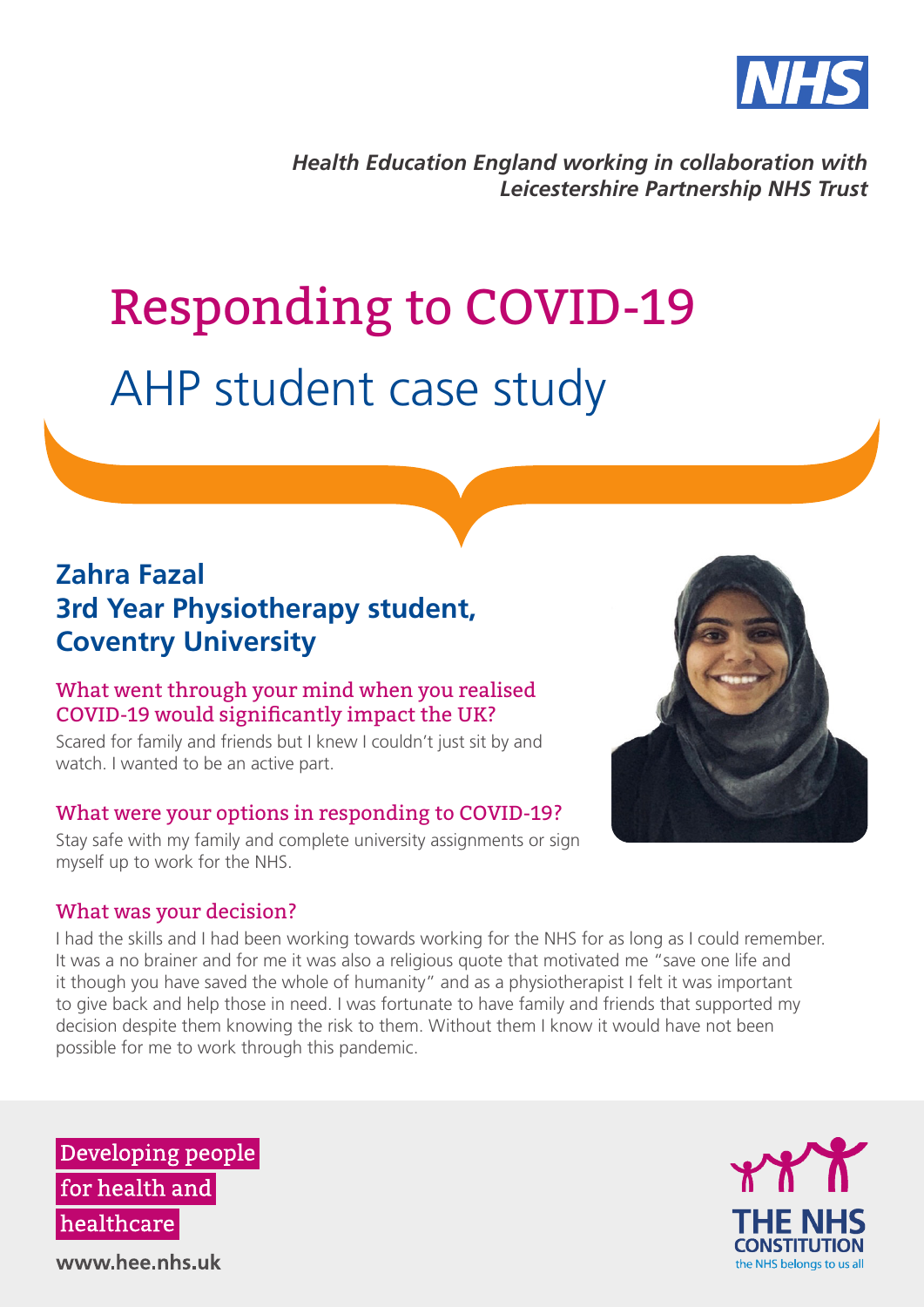

*Health Education England working in collaboration with Leicestershire Partnership NHS Trust*

# Responding to COVID-19 AHP student case study

# **Zahra Fazal 3rd Year Physiotherapy student, Coventry University**

#### What went through your mind when you realised COVID-19 would significantly impact the UK?

Scared for family and friends but I knew I couldn't just sit by and watch. I wanted to be an active part.

# What were your options in responding to COVID-19?

Stay safe with my family and complete university assignments or sign myself up to work for the NHS.

# What was your decision?

I had the skills and I had been working towards working for the NHS for as long as I could remember. It was a no brainer and for me it was also a religious quote that motivated me "save one life and it though you have saved the whole of humanity" and as a physiotherapist I felt it was important to give back and help those in need. I was fortunate to have family and friends that supported my decision despite them knowing the risk to them. Without them I know it would have not been possible for me to work through this pandemic.

Developing people for health and healthcare



www.hee.nhs.uk